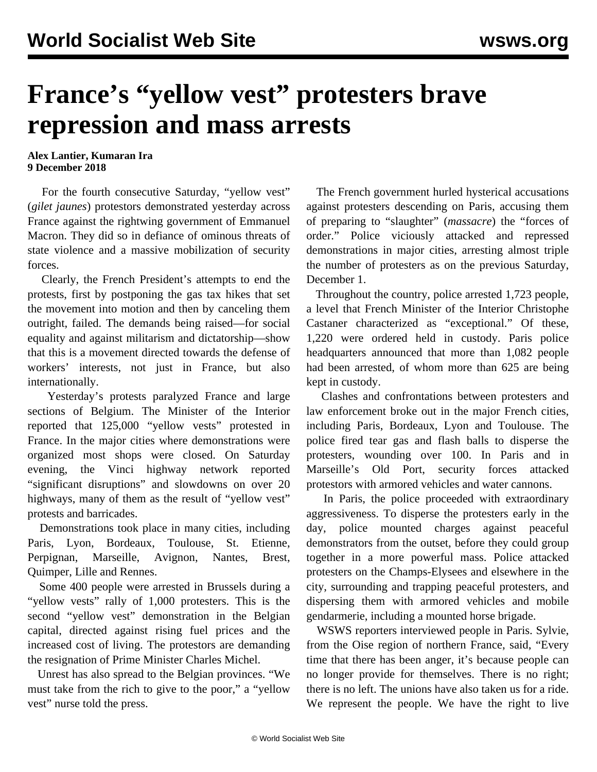## **France's "yellow vest" protesters brave repression and mass arrests**

**Alex Lantier, Kumaran Ira 9 December 2018**

 For the fourth consecutive Saturday, "yellow vest" (*gilet jaunes*) protestors demonstrated yesterday across France against the rightwing government of Emmanuel Macron. They did so in defiance of ominous threats of state violence and a massive mobilization of security forces.

 Clearly, the French President's attempts to end the protests, first by postponing the gas tax hikes that set the movement into motion and then by canceling them outright, failed. The demands being raised—for social equality and against militarism and dictatorship—show that this is a movement directed towards the defense of workers' interests, not just in France, but also internationally.

 Yesterday's protests paralyzed France and large sections of Belgium. The Minister of the Interior reported that 125,000 "yellow vests" protested in France. In the major cities where demonstrations were organized most shops were closed. On Saturday evening, the Vinci highway network reported "significant disruptions" and slowdowns on over 20 highways, many of them as the result of "yellow vest" protests and barricades.

 Demonstrations took place in many cities, including Paris, Lyon, Bordeaux, Toulouse, St. Etienne, Perpignan, Marseille, Avignon, Nantes, Brest, Quimper, Lille and Rennes.

 Some 400 people were arrested in Brussels during a "yellow vests" rally of 1,000 protesters. This is the second "yellow vest" demonstration in the Belgian capital, directed against rising fuel prices and the increased cost of living. The protestors are demanding the resignation of Prime Minister Charles Michel.

 Unrest has also spread to the Belgian provinces. "We must take from the rich to give to the poor," a "yellow vest" nurse told the press.

 The French government hurled hysterical accusations against protesters descending on Paris, accusing them of preparing to "slaughter" (*massacre*) the "forces of order." Police viciously attacked and repressed demonstrations in major cities, arresting almost triple the number of protesters as on the previous Saturday, December 1.

 Throughout the country, police arrested 1,723 people, a level that French Minister of the Interior Christophe Castaner characterized as "exceptional." Of these, 1,220 were ordered held in custody. Paris police headquarters announced that more than 1,082 people had been arrested, of whom more than 625 are being kept in custody.

 Clashes and confrontations between protesters and law enforcement broke out in the major French cities, including Paris, Bordeaux, Lyon and Toulouse. The police fired tear gas and flash balls to disperse the protesters, wounding over 100. In Paris and in Marseille's Old Port, security forces attacked protestors with armored vehicles and water cannons.

 In Paris, the police proceeded with extraordinary aggressiveness. To disperse the protesters early in the day, police mounted charges against peaceful demonstrators from the outset, before they could group together in a more powerful mass. Police attacked protesters on the Champs-Elysees and elsewhere in the city, surrounding and trapping peaceful protesters, and dispersing them with armored vehicles and mobile gendarmerie, including a mounted horse brigade.

 WSWS reporters interviewed people in Paris. Sylvie, from the Oise region of northern France, said, "Every time that there has been anger, it's because people can no longer provide for themselves. There is no right; there is no left. The unions have also taken us for a ride. We represent the people. We have the right to live